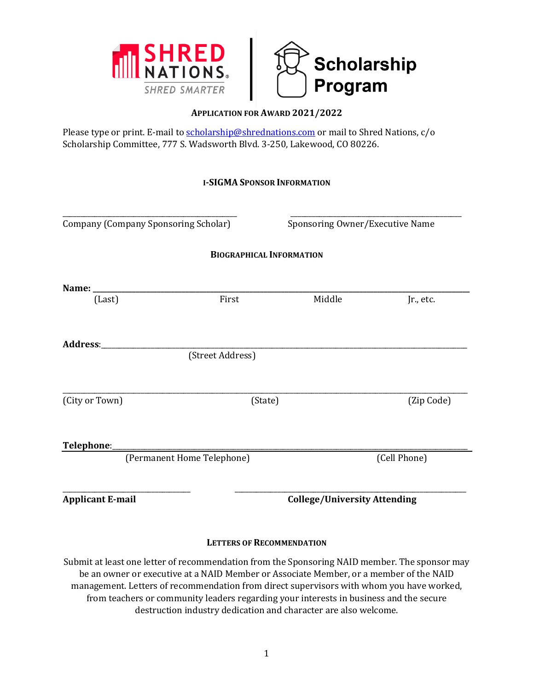



## **APPLICATION FOR AWARD 2021/2022**

Please type or print. E-mail t[o scholarship@shrednations.com](mailto:scholarship@shrednations.com) or mail to Shred Nations, c/o Scholarship Committee, 777 S. Wadsworth Blvd. 3-250, Lakewood, CO 80226.

|  |  |  | <b>I-SIGMA SPONSOR INFORMATION</b> |
|--|--|--|------------------------------------|
|--|--|--|------------------------------------|

| Company (Company Sponsoring Scholar) |                  | Sponsoring Owner/Executive Name     |              |  |
|--------------------------------------|------------------|-------------------------------------|--------------|--|
|                                      |                  | <b>BIOGRAPHICAL INFORMATION</b>     |              |  |
|                                      |                  |                                     |              |  |
| (Last)                               | First            | Middle                              | Jr., etc.    |  |
| Address:                             |                  |                                     |              |  |
|                                      | (Street Address) |                                     |              |  |
| (City or Town)                       |                  | (State)                             | (Zip Code)   |  |
| Telephone:_                          |                  |                                     |              |  |
| (Permanent Home Telephone)           |                  |                                     | (Cell Phone) |  |
| <b>Applicant E-mail</b>              |                  | <b>College/University Attending</b> |              |  |

## **LETTERS OF RECOMMENDATION**

Submit at least one letter of recommendation from the Sponsoring NAID member. The sponsor may be an owner or executive at a NAID Member or Associate Member, or a member of the NAID management. Letters of recommendation from direct supervisors with whom you have worked, from teachers or community leaders regarding your interests in business and the secure destruction industry dedication and character are also welcome.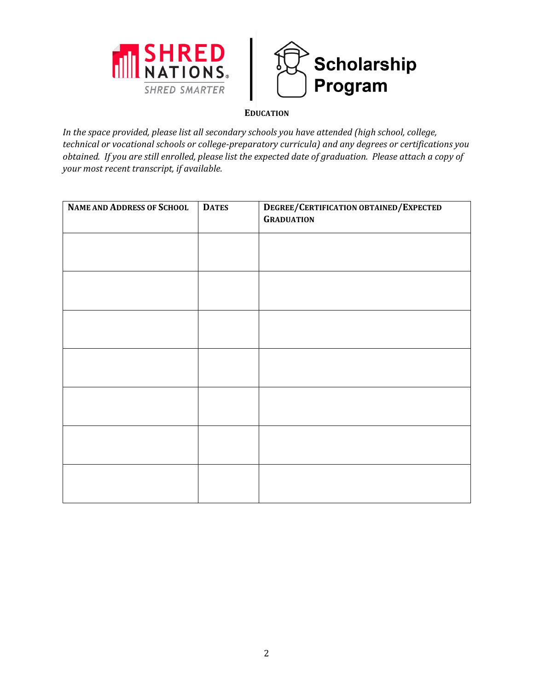



## **EDUCATION**

*In the space provided, please list all secondary schools you have attended (high school, college, technical or vocational schools or college-preparatory curricula) and any degrees or certifications you obtained. If you are still enrolled, please list the expected date of graduation. Please attach a copy of your most recent transcript, if available.*

| <b>NAME AND ADDRESS OF SCHOOL</b> | <b>DATES</b> | DEGREE/CERTIFICATION OBTAINED/EXPECTED<br><b>GRADUATION</b> |
|-----------------------------------|--------------|-------------------------------------------------------------|
|                                   |              |                                                             |
|                                   |              |                                                             |
|                                   |              |                                                             |
|                                   |              |                                                             |
|                                   |              |                                                             |
|                                   |              |                                                             |
|                                   |              |                                                             |
|                                   |              |                                                             |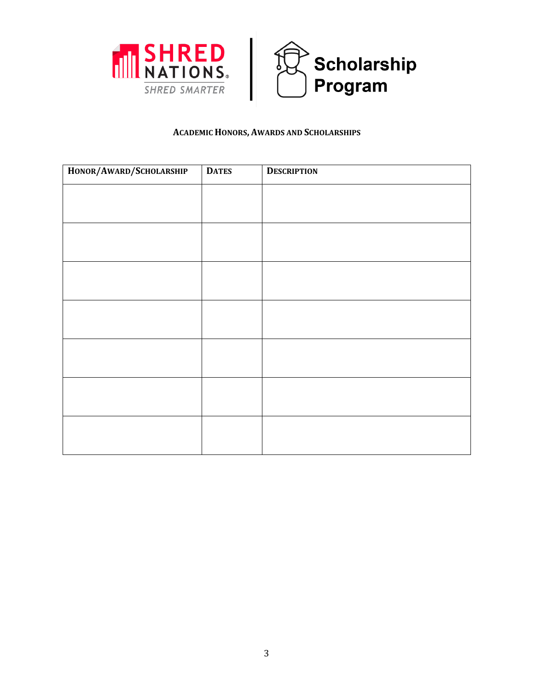



#### **ACADEMIC HONORS, AWARDS AND SCHOLARSHIPS**

| HONOR/AWARD/SCHOLARSHIP | <b>DATES</b> | <b>DESCRIPTION</b> |
|-------------------------|--------------|--------------------|
|                         |              |                    |
|                         |              |                    |
|                         |              |                    |
|                         |              |                    |
|                         |              |                    |
|                         |              |                    |
|                         |              |                    |
|                         |              |                    |
|                         |              |                    |
|                         |              |                    |
|                         |              |                    |
|                         |              |                    |
|                         |              |                    |
|                         |              |                    |
|                         |              |                    |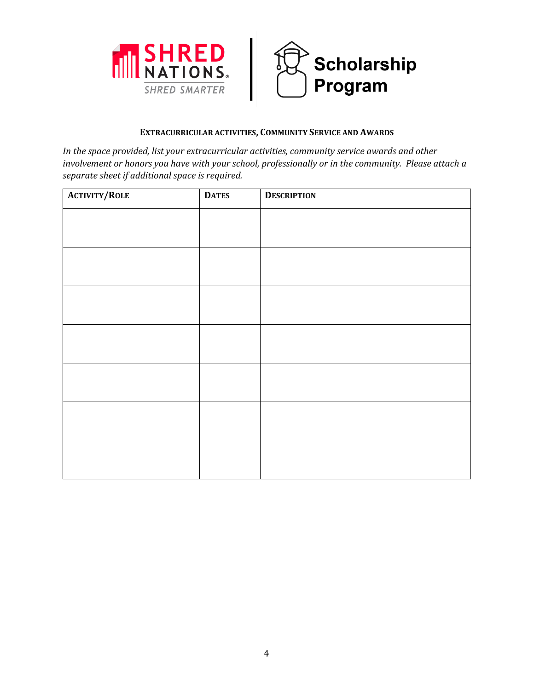



#### **EXTRACURRICULAR ACTIVITIES, COMMUNITY SERVICE AND AWARDS**

*In the space provided, list your extracurricular activities, community service awards and other involvement or honors you have with your school, professionally or in the community. Please attach a separate sheet if additional space is required.*

| <b>ACTIVITY/ROLE</b> | <b>DATES</b> | <b>DESCRIPTION</b> |
|----------------------|--------------|--------------------|
|                      |              |                    |
|                      |              |                    |
|                      |              |                    |
|                      |              |                    |
|                      |              |                    |
|                      |              |                    |
|                      |              |                    |
|                      |              |                    |
|                      |              |                    |
|                      |              |                    |
|                      |              |                    |
|                      |              |                    |
|                      |              |                    |
|                      |              |                    |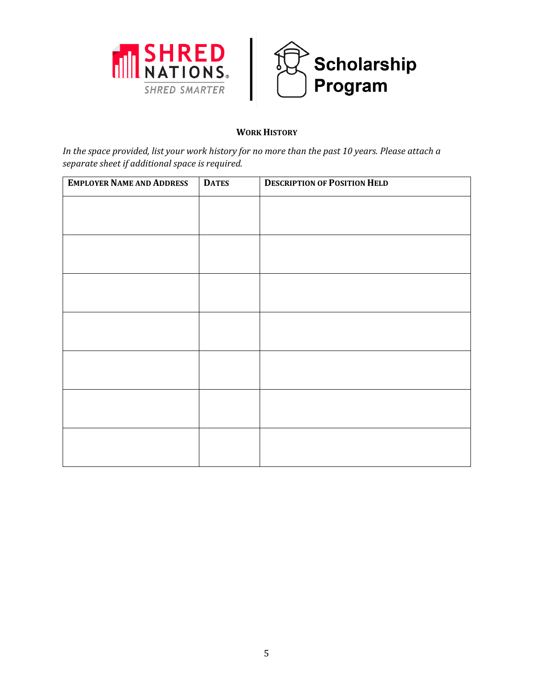



# **WORK HISTORY**

*In the space provided, list your work history for no more than the past 10 years. Please attach a separate sheet if additional space is required.*

| <b>EMPLOYER NAME AND ADDRESS</b> | <b>DATES</b> | <b>DESCRIPTION OF POSITION HELD</b> |
|----------------------------------|--------------|-------------------------------------|
|                                  |              |                                     |
|                                  |              |                                     |
|                                  |              |                                     |
|                                  |              |                                     |
|                                  |              |                                     |
|                                  |              |                                     |
|                                  |              |                                     |
|                                  |              |                                     |
|                                  |              |                                     |
|                                  |              |                                     |
|                                  |              |                                     |
|                                  |              |                                     |
|                                  |              |                                     |
|                                  |              |                                     |